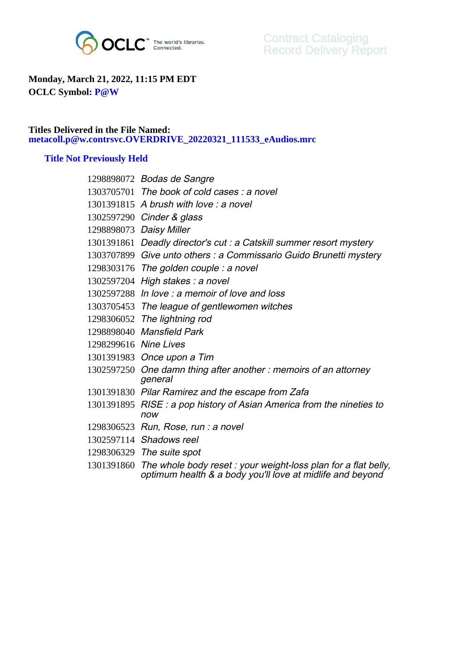

## **Monday, March 21, 2022, 11:15 PM EDT OCLC Symbol: P@W**

## **Titles Delivered in the File Named: metacoll.p@w.contrsvc.OVERDRIVE\_20220321\_111533\_eAudios.mrc**

## **Title Not Previously Held**

|                       | 1298898072 Bodas de Sangre                                                                                                            |
|-----------------------|---------------------------------------------------------------------------------------------------------------------------------------|
|                       | 1303705701 The book of cold cases: a novel                                                                                            |
|                       | 1301391815 A brush with love : a novel                                                                                                |
|                       | 1302597290 Cinder & glass                                                                                                             |
|                       | 1298898073 Daisy Miller                                                                                                               |
|                       | 1301391861 Deadly director's cut : a Catskill summer resort mystery                                                                   |
|                       | 1303707899 Give unto others : a Commissario Guido Brunetti mystery                                                                    |
|                       | $1298303176$ The golden couple: a novel                                                                                               |
|                       | 1302597204 High stakes: a novel                                                                                                       |
|                       | 1302597288 In love: a memoir of love and loss                                                                                         |
|                       | 1303705453 The league of gentlewomen witches                                                                                          |
|                       | 1298306052 The lightning rod                                                                                                          |
|                       | 1298898040 Mansfield Park                                                                                                             |
| 1298299616 Nine Lives |                                                                                                                                       |
|                       | 1301391983 Once upon a Tim                                                                                                            |
|                       | 1302597250 One damn thing after another: memoirs of an attorney<br>general                                                            |
|                       | 1301391830 Pilar Ramirez and the escape from Zafa                                                                                     |
|                       | 1301391895 RISE: a pop history of Asian America from the nineties to<br>now                                                           |
|                       | $1298306523$ Run, Rose, run : a novel                                                                                                 |
|                       | 1302597114 Shadows reel                                                                                                               |
|                       | 1298306329 The suite spot                                                                                                             |
|                       | 1301391860 The whole body reset: your weight-loss plan for a flat belly,<br>optimum health & a body you'll love at midlife and beyond |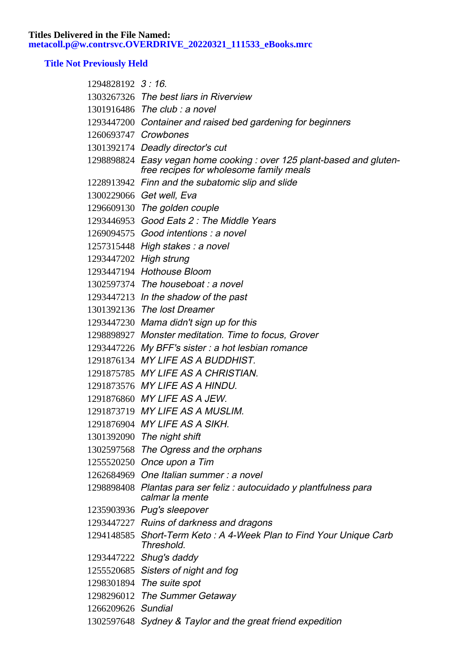**Titles Delivered in the File Named: metacoll.p@w.contrsvc.OVERDRIVE\_20220321\_111533\_eBooks.mrc**

## **Title Not Previously Held**

| 1294828192 3:16      |                                                                                                                 |
|----------------------|-----------------------------------------------------------------------------------------------------------------|
|                      | 1303267326 The best liars in Riverview                                                                          |
|                      | 1301916486 The club : a novel                                                                                   |
|                      | 1293447200 Container and raised bed gardening for beginners                                                     |
| 1260693747 Crowbones |                                                                                                                 |
|                      | 1301392174 Deadly director's cut                                                                                |
|                      | 1298898824 Easy vegan home cooking: over 125 plant-based and gluten-<br>free recipes for wholesome family meals |
|                      | 1228913942 Finn and the subatomic slip and slide                                                                |
|                      | 1300229066 Get well, Eva                                                                                        |
|                      | 1296609130 The golden couple                                                                                    |
|                      | 1293446953 Good Eats 2: The Middle Years                                                                        |
|                      | 1269094575 Good intentions : a novel                                                                            |
|                      | 1257315448 High stakes : a novel                                                                                |
|                      | 1293447202 High strung                                                                                          |
|                      | 1293447194 Hothouse Bloom                                                                                       |
|                      | 1302597374 The houseboat: a novel                                                                               |
|                      | 1293447213 In the shadow of the past                                                                            |
|                      | 1301392136 The lost Dreamer                                                                                     |
|                      | 1293447230 Mama didn't sign up for this                                                                         |
|                      | 1298898927 Monster meditation. Time to focus, Grover                                                            |
|                      | 1293447226 My BFF's sister: a hot lesbian romance                                                               |
|                      | 1291876134 MY LIFE AS A BUDDHIST.                                                                               |
|                      | 1291875785 MY LIFE AS A CHRISTIAN.                                                                              |
|                      | 1291873576 MY LIFE AS A HINDU.                                                                                  |
|                      | 1291876860 MY LIFE AS A JEW.                                                                                    |
|                      | 1291873719 MY LIFE AS A MUSLIM.                                                                                 |
|                      | 1291876904 MY LIFE AS A SIKH.                                                                                   |
|                      | 1301392090 The night shift                                                                                      |
|                      | 1302597568 The Ogress and the orphans                                                                           |
|                      | 1255520250 Once upon a Tim                                                                                      |
|                      | 1262684969 One Italian summer: a novel                                                                          |
|                      | 1298898408 Plantas para ser feliz : autocuidado y plantfulness para<br>calmar la mente                          |
|                      | 1235903936 Pug's sleepover                                                                                      |
|                      | 1293447227 Ruins of darkness and dragons                                                                        |
|                      | 1294148585 Short-Term Keto: A 4-Week Plan to Find Your Unique Carb<br>Threshold.                                |
|                      | 1293447222 Shug's daddy                                                                                         |
|                      | 1255520685 Sisters of night and fog                                                                             |
|                      | 1298301894 The suite spot                                                                                       |
|                      | 1298296012 The Summer Getaway                                                                                   |
| 1266209626 Sundial   |                                                                                                                 |
|                      | 1302597648 Sydney & Taylor and the great friend expedition                                                      |